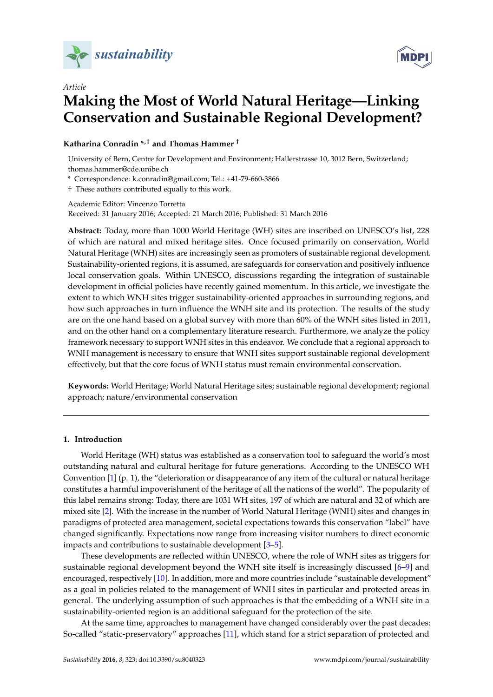



# *Article* **Making the Most of World Natural Heritage—Linking Conservation and Sustainable Regional Development?**

## **Katharina Conradin \*,† and Thomas Hammer †**

University of Bern, Centre for Development and Environment; Hallerstrasse 10, 3012 Bern, Switzerland; thomas.hammer@cde.unibe.ch

**\*** Correspondence: k.conradin@gmail.com; Tel.: +41-79-660-3866

† These authors contributed equally to this work.

Academic Editor: Vincenzo Torretta Received: 31 January 2016; Accepted: 21 March 2016; Published: 31 March 2016

**Abstract:** Today, more than 1000 World Heritage (WH) sites are inscribed on UNESCO's list, 228 of which are natural and mixed heritage sites. Once focused primarily on conservation, World Natural Heritage (WNH) sites are increasingly seen as promoters of sustainable regional development. Sustainability-oriented regions, it is assumed, are safeguards for conservation and positively influence local conservation goals. Within UNESCO, discussions regarding the integration of sustainable development in official policies have recently gained momentum. In this article, we investigate the extent to which WNH sites trigger sustainability-oriented approaches in surrounding regions, and how such approaches in turn influence the WNH site and its protection. The results of the study are on the one hand based on a global survey with more than 60% of the WNH sites listed in 2011, and on the other hand on a complementary literature research. Furthermore, we analyze the policy framework necessary to support WNH sites in this endeavor. We conclude that a regional approach to WNH management is necessary to ensure that WNH sites support sustainable regional development effectively, but that the core focus of WNH status must remain environmental conservation.

**Keywords:** World Heritage; World Natural Heritage sites; sustainable regional development; regional approach; nature/environmental conservation

## **1. Introduction**

World Heritage (WH) status was established as a conservation tool to safeguard the world's most outstanding natural and cultural heritage for future generations. According to the UNESCO WH Convention [\[1\]](#page-7-0) (p. 1), the "deterioration or disappearance of any item of the cultural or natural heritage constitutes a harmful impoverishment of the heritage of all the nations of the world". The popularity of this label remains strong: Today, there are 1031 WH sites, 197 of which are natural and 32 of which are mixed site [\[2\]](#page-7-1). With the increase in the number of World Natural Heritage (WNH) sites and changes in paradigms of protected area management, societal expectations towards this conservation "label" have changed significantly. Expectations now range from increasing visitor numbers to direct economic impacts and contributions to sustainable development [\[3–](#page-7-2)[5\]](#page-7-3).

These developments are reflected within UNESCO, where the role of WNH sites as triggers for sustainable regional development beyond the WNH site itself is increasingly discussed [\[6–](#page-7-4)[9\]](#page-7-5) and encouraged, respectively [\[10\]](#page-7-6). In addition, more and more countries include "sustainable development" as a goal in policies related to the management of WNH sites in particular and protected areas in general. The underlying assumption of such approaches is that the embedding of a WNH site in a sustainability-oriented region is an additional safeguard for the protection of the site.

At the same time, approaches to management have changed considerably over the past decades: So-called "static-preservatory" approaches [\[11\]](#page-7-7), which stand for a strict separation of protected and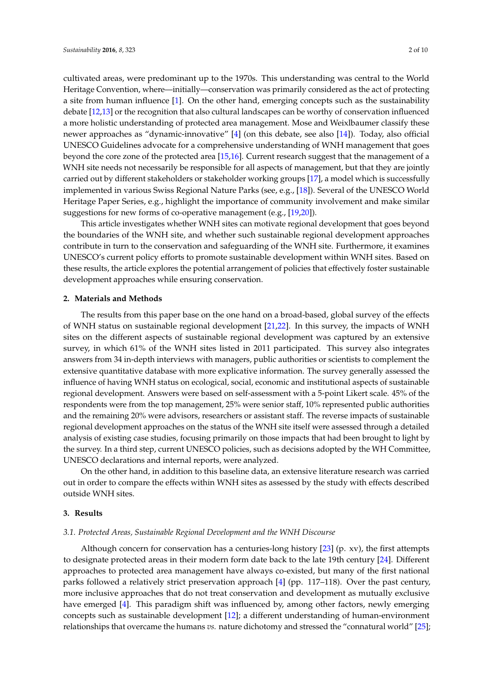cultivated areas, were predominant up to the 1970s. This understanding was central to the World Heritage Convention, where—initially—conservation was primarily considered as the act of protecting a site from human influence [\[1\]](#page-7-0). On the other hand, emerging concepts such as the sustainability debate [\[12,](#page-7-8)[13\]](#page-7-9) or the recognition that also cultural landscapes can be worthy of conservation influenced a more holistic understanding of protected area management. Mose and Weixlbaumer classify these newer approaches as "dynamic-innovative" [\[4\]](#page-7-10) (on this debate, see also [\[14\]](#page-7-11)). Today, also official UNESCO Guidelines advocate for a comprehensive understanding of WNH management that goes beyond the core zone of the protected area [\[15](#page-7-12)[,16\]](#page-7-13). Current research suggest that the management of a WNH site needs not necessarily be responsible for all aspects of management, but that they are jointly carried out by different stakeholders or stakeholder working groups [\[17\]](#page-7-14), a model which is successfully implemented in various Swiss Regional Nature Parks (see, e.g., [\[18\]](#page-8-0)). Several of the UNESCO World Heritage Paper Series, e.g., highlight the importance of community involvement and make similar suggestions for new forms of co-operative management (e.g., [\[19,](#page-8-1)[20\]](#page-8-2)).

This article investigates whether WNH sites can motivate regional development that goes beyond the boundaries of the WNH site, and whether such sustainable regional development approaches contribute in turn to the conservation and safeguarding of the WNH site. Furthermore, it examines UNESCO's current policy efforts to promote sustainable development within WNH sites. Based on these results, the article explores the potential arrangement of policies that effectively foster sustainable development approaches while ensuring conservation.

#### **2. Materials and Methods**

The results from this paper base on the one hand on a broad-based, global survey of the effects of WNH status on sustainable regional development [\[21,](#page-8-3)[22\]](#page-8-4). In this survey, the impacts of WNH sites on the different aspects of sustainable regional development was captured by an extensive survey, in which 61% of the WNH sites listed in 2011 participated. This survey also integrates answers from 34 in-depth interviews with managers, public authorities or scientists to complement the extensive quantitative database with more explicative information. The survey generally assessed the influence of having WNH status on ecological, social, economic and institutional aspects of sustainable regional development. Answers were based on self-assessment with a 5-point Likert scale. 45% of the respondents were from the top management, 25% were senior staff, 10% represented public authorities and the remaining 20% were advisors, researchers or assistant staff. The reverse impacts of sustainable regional development approaches on the status of the WNH site itself were assessed through a detailed analysis of existing case studies, focusing primarily on those impacts that had been brought to light by the survey. In a third step, current UNESCO policies, such as decisions adopted by the WH Committee, UNESCO declarations and internal reports, were analyzed.

On the other hand, in addition to this baseline data, an extensive literature research was carried out in order to compare the effects within WNH sites as assessed by the study with effects described outside WNH sites.

### **3. Results**

#### *3.1. Protected Areas, Sustainable Regional Development and the WNH Discourse*

Although concern for conservation has a centuries-long history [\[23\]](#page-8-5) (p. xv), the first attempts to designate protected areas in their modern form date back to the late 19th century [\[24\]](#page-8-6). Different approaches to protected area management have always co-existed, but many of the first national parks followed a relatively strict preservation approach [\[4\]](#page-7-10) (pp. 117–118). Over the past century, more inclusive approaches that do not treat conservation and development as mutually exclusive have emerged [\[4\]](#page-7-10). This paradigm shift was influenced by, among other factors, newly emerging concepts such as sustainable development [\[12\]](#page-7-8); a different understanding of human-environment relationships that overcame the humans *vs.* nature dichotomy and stressed the "connatural world" [\[25\]](#page-8-7);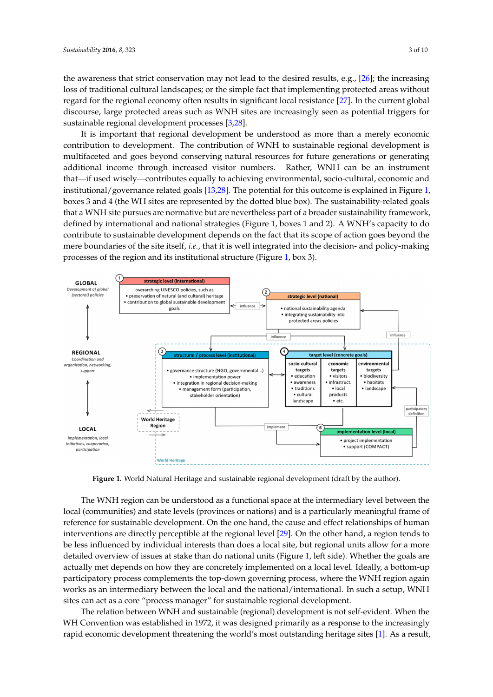the awareness that strict conservation may not lead to the desired results, e.g., [\[26\]](#page-8-8); the increasing loss of traditional cultural landscapes; or the simple fact that implementing protected areas without regard for the regional economy often results in significant local resistance [\[27\]](#page-8-9). In the current global discourse, large protected areas such as WNH sites are increasingly seen as potential triggers for sustainable regional development processes [\[3](#page-7-2)[,28\]](#page-8-10).

It is important that regional development be understood as more than a merely economic It is important that regional development be understood as more than a merely economic contribution to development. The contribution of WNH to sustainable regional development is contribution to development. The contribution of WNH to sustainable regional development is multifaceted and goes beyond conserving natural resources for future generations or generating multifaceted and goes beyond conserving natural resources for future generations or generating additional income through increased visitor numbers. Rather, WNH can be an instrument that—if used wisely—contributes equally to achieving environmental, socio-cultural, economic and used wisely—contributes equally to achieving environmental, socio‐cultural, economic and institutional/governance related goals [\[13,](#page-7-9)[28\]](#page-8-10). The potential for this outcome is explained in Figure [1,](#page-2-0) institutional/governance related goals [13,28]. The potential for this outcome is explained in Figure 1, boxes 3 and 4 (the WH sites are represented by the dotted blue box). The sustainability-related goals boxes 3 and 4 (the WH sites are represented by the dotted blue box). The sustainability‐related goals that a WNH site pursues are normative but are nevertheless part of a broader sustainability framework, that a WNH site pursues are normative but are nevertheless part of a broader sustainability defined by international and national strat[eg](#page-2-0)ies (Figure 1, boxes 1 and 2). A WNH's capacity to do contribute to sustainable development depends on the fact that its scope of action goes beyond the mere boundaries of the site itself, i.e., that it is well integrated into the decision- and policy-making processes of the region and its institutional s[tru](#page-2-0)cture (Figure 1, box 3).

<span id="page-2-0"></span>

**Figure 1.** World Natural Heritage and sustainable regional development (draft by the author). **Figure 1.** World Natural Heritage and sustainable regional development (draft by the author).

The WNH region can be understood as a functional space at the intermediary level between the The WNH region can be understood as a functional space at the intermediary level between the local (communities) and state levels (provinces or nations) and is a particularly meaningful frame of local (communities) and state levels (provinces or nations) and is a particularly meaningful frame of reference for sustainable development. On the one hand, the cause and effect relationships of human reference for sustainable development. On the one hand, the cause and effect relationships of human interventions are directly perceptible at the regional level [29]. On the other hand, a region tends to interventions are directly perceptible at the regional level [\[29\]](#page-8-11). On the other hand, a region tends to be less influenced by individual interests than does a local site, but regional units allow for a more be less influenced by individual interests than does a local site, but regional units allow for a more detailed overview of issues at stake than do national units (Figure 1, left side). Whether the goals are detailed overview of issues at stake than do national units (Figure [1,](#page-2-0) left side). Whether the goals are actually met depends on how they are concretely implemented on a local level. Ideally, a bottom‐up actually met depends on how they are concretely implemented on a local level. Ideally, a bottom-up participatory process complements the top‐down governing process, where the WNH region again participatory process complements the top-down governing process, where the WNH region again works as an intermediary between the local and the national/international. In such a setup, WNH works as an intermediary between the local and the national/international. In such a setup, WNH sites can act as a core "process manager" for sustainable regional development. sites can act as a core "process manager" for sustainable regional development.

The relation between WNH and sustainable (regional) development is not self-evident. When the WH Convention was established in 1972, it was designed primarily as a response to the increasingly rapid economic development threatening the world's most outstanding heritage sites [\[1\]](#page-7-0). As a result,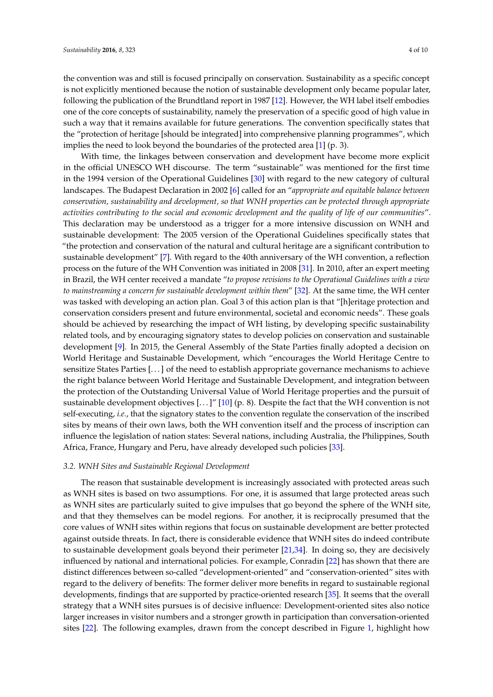the convention was and still is focused principally on conservation. Sustainability as a specific concept is not explicitly mentioned because the notion of sustainable development only became popular later, following the publication of the Brundtland report in 1987 [\[12\]](#page-7-8). However, the WH label itself embodies one of the core concepts of sustainability, namely the preservation of a specific good of high value in such a way that it remains available for future generations. The convention specifically states that the "protection of heritage [should be integrated] into comprehensive planning programmes", which implies the need to look beyond the boundaries of the protected area [\[1\]](#page-7-0) (p. 3).

With time, the linkages between conservation and development have become more explicit in the official UNESCO WH discourse. The term "sustainable" was mentioned for the first time in the 1994 version of the Operational Guidelines [\[30\]](#page-8-12) with regard to the new category of cultural landscapes. The Budapest Declaration in 2002 [\[6\]](#page-7-4) called for an "*appropriate and equitable balance between conservation, sustainability and development, so that WNH properties can be protected through appropriate activities contributing to the social and economic development and the quality of life of our communities*". This declaration may be understood as a trigger for a more intensive discussion on WNH and sustainable development: The 2005 version of the Operational Guidelines specifically states that "the protection and conservation of the natural and cultural heritage are a significant contribution to sustainable development" [\[7\]](#page-7-15). With regard to the 40th anniversary of the WH convention, a reflection process on the future of the WH Convention was initiated in 2008 [\[31\]](#page-8-13). In 2010, after an expert meeting in Brazil, the WH center received a mandate "*to propose revisions to the Operational Guidelines with a view to mainstreaming a concern for sustainable development within them*" [\[32\]](#page-8-14). At the same time, the WH center was tasked with developing an action plan. Goal 3 of this action plan is that "[h]eritage protection and conservation considers present and future environmental, societal and economic needs". These goals should be achieved by researching the impact of WH listing, by developing specific sustainability related tools, and by encouraging signatory states to develop policies on conservation and sustainable development [\[9\]](#page-7-5). In 2015, the General Assembly of the State Parties finally adopted a decision on World Heritage and Sustainable Development, which "encourages the World Heritage Centre to sensitize States Parties [. . . ] of the need to establish appropriate governance mechanisms to achieve the right balance between World Heritage and Sustainable Development, and integration between the protection of the Outstanding Universal Value of World Heritage properties and the pursuit of sustainable development objectives [. . . ]" [\[10\]](#page-7-6) (p. 8). Despite the fact that the WH convention is not self-executing, *i.e.*, that the signatory states to the convention regulate the conservation of the inscribed sites by means of their own laws, both the WH convention itself and the process of inscription can influence the legislation of nation states: Several nations, including Australia, the Philippines, South Africa, France, Hungary and Peru, have already developed such policies [\[33\]](#page-8-15).

## *3.2. WNH Sites and Sustainable Regional Development*

The reason that sustainable development is increasingly associated with protected areas such as WNH sites is based on two assumptions. For one, it is assumed that large protected areas such as WNH sites are particularly suited to give impulses that go beyond the sphere of the WNH site, and that they themselves can be model regions. For another, it is reciprocally presumed that the core values of WNH sites within regions that focus on sustainable development are better protected against outside threats. In fact, there is considerable evidence that WNH sites do indeed contribute to sustainable development goals beyond their perimeter [\[21,](#page-8-3)[34\]](#page-8-16). In doing so, they are decisively influenced by national and international policies. For example, Conradin [\[22\]](#page-8-4) has shown that there are distinct differences between so-called "development-oriented" and "conservation-oriented" sites with regard to the delivery of benefits: The former deliver more benefits in regard to sustainable regional developments, findings that are supported by practice-oriented research [\[35\]](#page-8-17). It seems that the overall strategy that a WNH sites pursues is of decisive influence: Development-oriented sites also notice larger increases in visitor numbers and a stronger growth in participation than conversation-oriented sites [\[22\]](#page-8-4). The following examples, drawn from the concept described in Figure [1,](#page-2-0) highlight how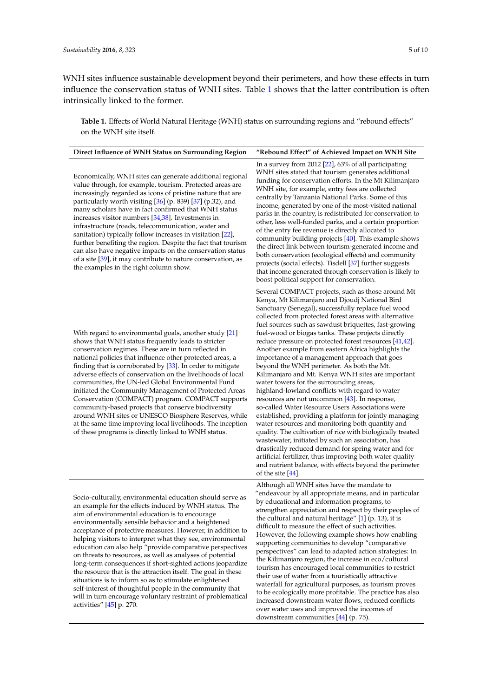WNH sites influence sustainable development beyond their perimeters, and how these effects in turn influence the conservation status of WNH sites. Table [1](#page-5-0) shows that the latter contribution is often intrinsically linked to the former.

**Table 1.** Effects of World Natural Heritage (WNH) status on surrounding regions and "rebound effects" on the WNH site itself.

| Direct Influence of WNH Status on Surrounding Region                                                                                                                                                                                                                                                                                                                                                                                                                                                                                                                                                                                                                                                                                                                                                                             | "Rebound Effect" of Achieved Impact on WNH Site                                                                                                                                                                                                                                                                                                                                                                                                                                                                                                                                                                                                                                                                                                                                                                                                                                                                                                                                                                                                                                                                                                                                                                                                     |
|----------------------------------------------------------------------------------------------------------------------------------------------------------------------------------------------------------------------------------------------------------------------------------------------------------------------------------------------------------------------------------------------------------------------------------------------------------------------------------------------------------------------------------------------------------------------------------------------------------------------------------------------------------------------------------------------------------------------------------------------------------------------------------------------------------------------------------|-----------------------------------------------------------------------------------------------------------------------------------------------------------------------------------------------------------------------------------------------------------------------------------------------------------------------------------------------------------------------------------------------------------------------------------------------------------------------------------------------------------------------------------------------------------------------------------------------------------------------------------------------------------------------------------------------------------------------------------------------------------------------------------------------------------------------------------------------------------------------------------------------------------------------------------------------------------------------------------------------------------------------------------------------------------------------------------------------------------------------------------------------------------------------------------------------------------------------------------------------------|
| Economically, WNH sites can generate additional regional<br>value through, for example, tourism. Protected areas are<br>increasingly regarded as icons of pristine nature that are<br>particularly worth visiting [36] (p. 839) [37] (p.32), and<br>many scholars have in fact confirmed that WNH status<br>increases visitor numbers [34,38]. Investments in<br>infrastructure (roads, telecommunication, water and<br>sanitation) typically follow increases in visitation [22],<br>further benefiting the region. Despite the fact that tourism<br>can also have negative impacts on the conservation status<br>of a site [39], it may contribute to nature conservation, as<br>the examples in the right column show.                                                                                                        | In a survey from 2012 $[22]$ , 63% of all participating<br>WNH sites stated that tourism generates additional<br>funding for conservation efforts. In the Mt Kilimanjaro<br>WNH site, for example, entry fees are collected<br>centrally by Tanzania National Parks. Some of this<br>income, generated by one of the most-visited national<br>parks in the country, is redistributed for conservation to<br>other, less well-funded parks, and a certain proportion<br>of the entry fee revenue is directly allocated to<br>community building projects [40]. This example shows<br>the direct link between tourism-generated income and<br>both conservation (ecological effects) and community<br>projects (social effects). Tisdell [37] further suggests<br>that income generated through conservation is likely to<br>boost political support for conservation.                                                                                                                                                                                                                                                                                                                                                                                |
| With regard to environmental goals, another study [21]<br>shows that WNH status frequently leads to stricter<br>conservation regimes. These are in turn reflected in<br>national policies that influence other protected areas, a<br>finding that is corroborated by [33]. In order to mitigate<br>adverse effects of conservation on the livelihoods of local<br>communities, the UN-led Global Environmental Fund<br>initiated the Community Management of Protected Areas<br>Conservation (COMPACT) program. COMPACT supports<br>community-based projects that conserve biodiversity<br>around WNH sites or UNESCO Biosphere Reserves, while<br>at the same time improving local livelihoods. The inception<br>of these programs is directly linked to WNH status.                                                            | Several COMPACT projects, such as those around Mt<br>Kenya, Mt Kilimanjaro and Djoudj National Bird<br>Sanctuary (Senegal), successfully replace fuel wood<br>collected from protected forest areas with alternative<br>fuel sources such as sawdust briquettes, fast-growing<br>fuel-wood or biogas tanks. These projects directly<br>reduce pressure on protected forest resources [41,42].<br>Another example from eastern Africa highlights the<br>importance of a management approach that goes<br>beyond the WNH perimeter. As both the Mt.<br>Kilimanjaro and Mt. Kenya WNH sites are important<br>water towers for the surrounding areas,<br>highland-lowland conflicts with regard to water<br>resources are not uncommon $[43]$ . In response,<br>so-called Water Resource Users Associations were<br>established, providing a platform for jointly managing<br>water resources and monitoring both quantity and<br>quality. The cultivation of rice with biologically treated<br>wastewater, initiated by such an association, has<br>drastically reduced demand for spring water and for<br>artificial fertilizer, thus improving both water quality<br>and nutrient balance, with effects beyond the perimeter<br>of the site $[44]$ . |
| Socio-culturally, environmental education should serve as<br>an example for the effects induced by WNH status. The<br>aim of environmental education is to encourage<br>environmentally sensible behavior and a heightened<br>acceptance of protective measures. However, in addition to<br>helping visitors to interpret what they see, environmental<br>education can also help "provide comparative perspectives<br>on threats to resources, as well as analyses of potential<br>long-term consequences if short-sighted actions jeopardize<br>the resource that is the attraction itself. The goal in these<br>situations is to inform so as to stimulate enlightened<br>self-interest of thoughtful people in the community that<br>will in turn encourage voluntary restraint of problematical<br>activities" [45] p. 270. | Although all WNH sites have the mandate to<br>"endeavour by all appropriate means, and in particular<br>by educational and information programs, to<br>strengthen appreciation and respect by their peoples of<br>the cultural and natural heritage" [1] (p. 13), it is<br>difficult to measure the effect of such activities.<br>However, the following example shows how enabling<br>supporting communities to develop "comparative<br>perspectives" can lead to adapted action strategies: In<br>the Kilimanjaro region, the increase in eco/cultural<br>tourism has encouraged local communities to restrict<br>their use of water from a touristically attractive<br>waterfall for agricultural purposes, as tourism proves<br>to be ecologically more profitable. The practice has also<br>increased downstream water flows, reduced conflicts<br>over water uses and improved the incomes of<br>downstream communities $[44]$ (p. 75).                                                                                                                                                                                                                                                                                                       |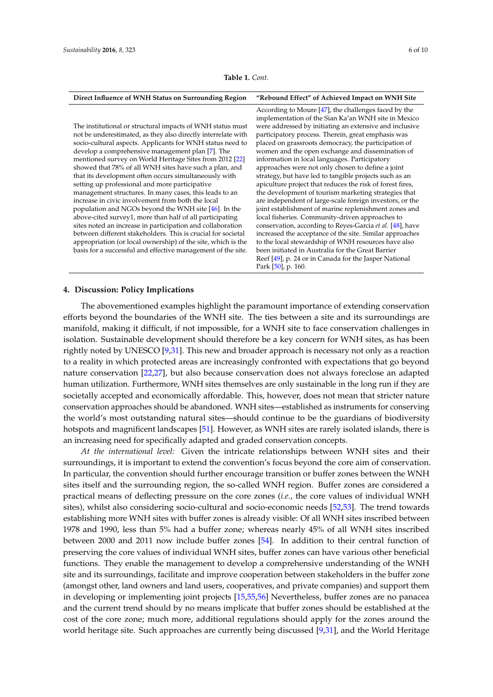| <b>Table 1.</b> Cont. |  |  |
|-----------------------|--|--|
|-----------------------|--|--|

<span id="page-5-0"></span>

| Direct Influence of WNH Status on Surrounding Region                                                                                                                                                                                                                                                                                                                                                                                                                                                                                                                                                                                                                                                                                                                                                                                                                                                                                                                          | "Rebound Effect" of Achieved Impact on WNH Site                                                                                                                                                                                                                                                                                                                                                                                                                                                                                                                                                                                                                                                                                                                                                                                                                                                                                                                                                                                                                                                        |
|-------------------------------------------------------------------------------------------------------------------------------------------------------------------------------------------------------------------------------------------------------------------------------------------------------------------------------------------------------------------------------------------------------------------------------------------------------------------------------------------------------------------------------------------------------------------------------------------------------------------------------------------------------------------------------------------------------------------------------------------------------------------------------------------------------------------------------------------------------------------------------------------------------------------------------------------------------------------------------|--------------------------------------------------------------------------------------------------------------------------------------------------------------------------------------------------------------------------------------------------------------------------------------------------------------------------------------------------------------------------------------------------------------------------------------------------------------------------------------------------------------------------------------------------------------------------------------------------------------------------------------------------------------------------------------------------------------------------------------------------------------------------------------------------------------------------------------------------------------------------------------------------------------------------------------------------------------------------------------------------------------------------------------------------------------------------------------------------------|
| The institutional or structural impacts of WNH status must<br>not be underestimated, as they also directly interrelate with<br>socio-cultural aspects. Applicants for WNH status need to<br>develop a comprehensive management plan [7]. The<br>mentioned survey on World Heritage Sites from 2012 [22]<br>showed that 78% of all WNH sites have such a plan, and<br>that its development often occurs simultaneously with<br>setting up professional and more participative<br>management structures. In many cases, this leads to an<br>increase in civic involvement from both the local<br>population and NGOs beyond the WNH site [46]. In the<br>above-cited survey1, more than half of all participating<br>sites noted an increase in participation and collaboration<br>between different stakeholders. This is crucial for societal<br>appropriation (or local ownership) of the site, which is the<br>basis for a successful and effective management of the site. | According to Moure $[47]$ , the challenges faced by the<br>implementation of the Sian Ka'an WNH site in Mexico<br>were addressed by initiating an extensive and inclusive<br>participatory process. Therein, great emphasis was<br>placed on grassroots democracy, the participation of<br>women and the open exchange and dissemination of<br>information in local languages. Participatory<br>approaches were not only chosen to define a joint<br>strategy, but have led to tangible projects such as an<br>apiculture project that reduces the risk of forest fires,<br>the development of tourism marketing strategies that<br>are independent of large-scale foreign investors, or the<br>joint establishment of marine replenishment zones and<br>local fisheries. Community-driven approaches to<br>conservation, according to Reyes-Garcia et al. [48], have<br>increased the acceptance of the site. Similar approaches<br>to the local stewardship of WNH resources have also<br>been initiated in Australia for the Great Barrier<br>Reef [49], p. 24 or in Canada for the Jasper National |
|                                                                                                                                                                                                                                                                                                                                                                                                                                                                                                                                                                                                                                                                                                                                                                                                                                                                                                                                                                               | Park [50], p. 160.                                                                                                                                                                                                                                                                                                                                                                                                                                                                                                                                                                                                                                                                                                                                                                                                                                                                                                                                                                                                                                                                                     |

## **4. Discussion: Policy Implications**

The abovementioned examples highlight the paramount importance of extending conservation efforts beyond the boundaries of the WNH site. The ties between a site and its surroundings are manifold, making it difficult, if not impossible, for a WNH site to face conservation challenges in isolation. Sustainable development should therefore be a key concern for WNH sites, as has been rightly noted by UNESCO [\[9,](#page-7-5)[31\]](#page-8-13). This new and broader approach is necessary not only as a reaction to a reality in which protected areas are increasingly confronted with expectations that go beyond nature conservation [\[22](#page-8-4)[,27\]](#page-8-9), but also because conservation does not always foreclose an adapted human utilization. Furthermore, WNH sites themselves are only sustainable in the long run if they are societally accepted and economically affordable. This, however, does not mean that stricter nature conservation approaches should be abandoned. WNH sites—established as instruments for conserving the world's most outstanding natural sites—should continue to be the guardians of biodiversity hotspots and magnificent landscapes [\[51\]](#page-9-8). However, as WNH sites are rarely isolated islands, there is an increasing need for specifically adapted and graded conservation concepts.

*At the international level:* Given the intricate relationships between WNH sites and their surroundings, it is important to extend the convention's focus beyond the core aim of conservation. In particular, the convention should further encourage transition or buffer zones between the WNH sites itself and the surrounding region, the so-called WNH region. Buffer zones are considered a practical means of deflecting pressure on the core zones (*i.e.*, the core values of individual WNH sites), whilst also considering socio-cultural and socio-economic needs [\[52](#page-9-9)[,53\]](#page-9-10). The trend towards establishing more WNH sites with buffer zones is already visible: Of all WNH sites inscribed between 1978 and 1990, less than 5% had a buffer zone; whereas nearly 45% of all WNH sites inscribed between 2000 and 2011 now include buffer zones [\[54\]](#page-9-11). In addition to their central function of preserving the core values of individual WNH sites, buffer zones can have various other beneficial functions. They enable the management to develop a comprehensive understanding of the WNH site and its surroundings, facilitate and improve cooperation between stakeholders in the buffer zone (amongst other, land owners and land users, cooperatives, and private companies) and support them in developing or implementing joint projects [\[15,](#page-7-12)[55](#page-9-12)[,56\]](#page-9-13) Nevertheless, buffer zones are no panacea and the current trend should by no means implicate that buffer zones should be established at the cost of the core zone; much more, additional regulations should apply for the zones around the world heritage site. Such approaches are currently being discussed [\[9](#page-7-5)[,31\]](#page-8-13), and the World Heritage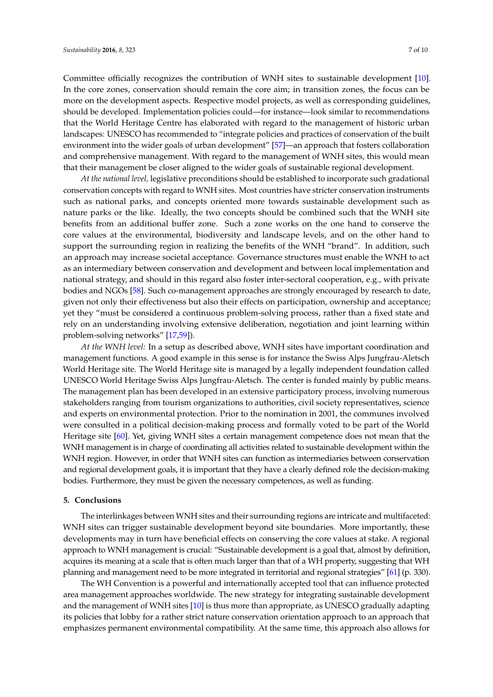Committee officially recognizes the contribution of WNH sites to sustainable development [\[10\]](#page-7-6). In the core zones, conservation should remain the core aim; in transition zones, the focus can be more on the development aspects. Respective model projects, as well as corresponding guidelines, should be developed. Implementation policies could—for instance—look similar to recommendations that the World Heritage Centre has elaborated with regard to the management of historic urban landscapes: UNESCO has recommended to "integrate policies and practices of conservation of the built environment into the wider goals of urban development" [\[57\]](#page-9-14)—an approach that fosters collaboration and comprehensive management. With regard to the management of WNH sites, this would mean

that their management be closer aligned to the wider goals of sustainable regional development.

*At the national level,* legislative preconditions should be established to incorporate such gradational conservation concepts with regard to WNH sites. Most countries have stricter conservation instruments such as national parks, and concepts oriented more towards sustainable development such as nature parks or the like. Ideally, the two concepts should be combined such that the WNH site benefits from an additional buffer zone. Such a zone works on the one hand to conserve the core values at the environmental, biodiversity and landscape levels, and on the other hand to support the surrounding region in realizing the benefits of the WNH "brand". In addition, such an approach may increase societal acceptance. Governance structures must enable the WNH to act as an intermediary between conservation and development and between local implementation and national strategy, and should in this regard also foster inter-sectoral cooperation, e.g., with private bodies and NGOs [\[58\]](#page-9-15). Such co-management approaches are strongly encouraged by research to date, given not only their effectiveness but also their effects on participation, ownership and acceptance; yet they "must be considered a continuous problem-solving process, rather than a fixed state and rely on an understanding involving extensive deliberation, negotiation and joint learning within problem-solving networks" [\[17,](#page-7-14)[59\]](#page-9-16)).

*At the WNH level:* In a setup as described above, WNH sites have important coordination and management functions. A good example in this sense is for instance the Swiss Alps Jungfrau-Aletsch World Heritage site. The World Heritage site is managed by a legally independent foundation called UNESCO World Heritage Swiss Alps Jungfrau-Aletsch. The center is funded mainly by public means. The management plan has been developed in an extensive participatory process, involving numerous stakeholders ranging from tourism organizations to authorities, civil society representatives, science and experts on environmental protection. Prior to the nomination in 2001, the communes involved were consulted in a political decision-making process and formally voted to be part of the World Heritage site [\[60\]](#page-9-17). Yet, giving WNH sites a certain management competence does not mean that the WNH management is in charge of coordinating all activities related to sustainable development within the WNH region. However, in order that WNH sites can function as intermediaries between conservation and regional development goals, it is important that they have a clearly defined role the decision-making bodies. Furthermore, they must be given the necessary competences, as well as funding.

## **5. Conclusions**

The interlinkages between WNH sites and their surrounding regions are intricate and multifaceted: WNH sites can trigger sustainable development beyond site boundaries. More importantly, these developments may in turn have beneficial effects on conserving the core values at stake. A regional approach to WNH management is crucial: "Sustainable development is a goal that, almost by definition, acquires its meaning at a scale that is often much larger than that of a WH property, suggesting that WH planning and management need to be more integrated in territorial and regional strategies" [\[61\]](#page-9-18) (p. 330).

The WH Convention is a powerful and internationally accepted tool that can influence protected area management approaches worldwide. The new strategy for integrating sustainable development and the management of WNH sites [\[10\]](#page-7-6) is thus more than appropriate, as UNESCO gradually adapting its policies that lobby for a rather strict nature conservation orientation approach to an approach that emphasizes permanent environmental compatibility. At the same time, this approach also allows for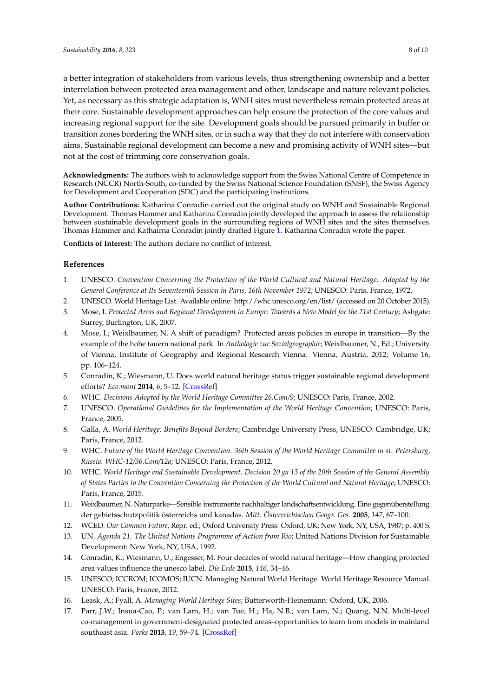a better integration of stakeholders from various levels, thus strengthening ownership and a better interrelation between protected area management and other, landscape and nature relevant policies. Yet, as necessary as this strategic adaptation is, WNH sites must nevertheless remain protected areas at their core. Sustainable development approaches can help ensure the protection of the core values and increasing regional support for the site. Development goals should be pursued primarily in buffer or transition zones bordering the WNH sites, or in such a way that they do not interfere with conservation aims. Sustainable regional development can become a new and promising activity of WNH sites—but not at the cost of trimming core conservation goals.

**Acknowledgments:** The authors wish to acknowledge support from the Swiss National Centre of Competence in Research (NCCR) North-South, co-funded by the Swiss National Science Foundation (SNSF), the Swiss Agency for Development and Cooperation (SDC) and the participating institutions.

**Author Contributions:** Katharina Conradin carried out the original study on WNH and Sustainable Regional Development. Thomas Hammer and Katharina Conradin jointly developed the approach to assess the relationship between sustainable development goals in the surrounding regions of WNH sites and the sites themselves. Thomas Hammer and Kathairna Conradin jointly drafted Figure [1.](#page-2-0) Katharina Conradin wrote the paper.

**Conflicts of Interest:** The authors declare no conflict of interest.

## **References**

- <span id="page-7-0"></span>1. UNESCO. *Convention Concerning the Protection of the World Cultural and Natural Heritage. Adopted by the General Conference at Its Seventeenth Session in Paris, 16th November 1972*; UNESCO: Paris, France, 1972.
- <span id="page-7-1"></span>2. UNESCO. World Heritage List. Available online: http://whc.unesco.org/en/list/ (accessed on 20 October 2015).
- <span id="page-7-2"></span>3. Mose, I. *Protected Areas and Regional Development in Europe: Towards a New Model for the 21st Century*; Ashgate: Surrey, Burlington, UK, 2007.
- <span id="page-7-10"></span>4. Mose, I.; Weixlbaumer, N. A shift of paradigm? Protected areas policies in europe in transition—By the example of the hohe tauern national park. In *Anthologie zur Sozialgeographie*; Weixlbaumer, N., Ed.; University of Vienna, Institute of Geography and Regional Research Vienna: Vienna, Austria, 2012; Volume 16, pp. 106–124.
- <span id="page-7-3"></span>5. Conradin, K.; Wiesmann, U. Does world natural heritage status trigger sustainable regional development efforts? *Eco.mont* **2014**, *6*, 5–12. [\[CrossRef\]](http://dx.doi.org/10.1553/ecomont-6-2s5)
- <span id="page-7-4"></span>6. WHC. *Decisions Adopted by the World Heritage Committee 26.Com/9*; UNESCO: Paris, France, 2002.
- <span id="page-7-15"></span>7. UNESCO. *Operational Guidelines for the Implementation of the World Heritage Convention*; UNESCO: Paris, France, 2005.
- 8. Galla, A. *World Heritage: Benefits Beyond Borders*; Cambridge University Press, UNESCO: Cambridge, UK; Paris, France, 2012.
- <span id="page-7-5"></span>9. WHC. *Future of the World Heritage Convention. 36th Session of the World Heritage Committee in st. Petersburg, Russia. WHC-12/36.Com/12a*; UNESCO: Paris, France, 2012.
- <span id="page-7-6"></span>10. WHC. *World Heritage and Sustainable Development. Decision 20 ga 13 of the 20th Session of the General Assembly of States Parties to the Convention Concerning the Protection of the World Cultural and Natural Heritage*; UNESCO: Paris, France, 2015.
- <span id="page-7-7"></span>11. Weixlbaumer, N. Naturparke—Sensible instrumente nachhaltiger landschaftsentwicklung. Eine gegenüberstellung der gebietsschutzpolitik österreichs und kanadas. *Mitt. Österreichischen Geogr. Ges.* **2005**, *147*, 67–100.
- <span id="page-7-8"></span>12. WCED. *Our Common Future*, Repr. ed.; Oxford University Press: Oxford, UK; New York, NY, USA, 1987; p. 400 S.
- <span id="page-7-9"></span>13. UN. *Agenda 21. The United Nations Programme of Action from Rio*; United Nations Division for Sustainable Development: New York, NY, USA, 1992.
- <span id="page-7-11"></span>14. Conradin, K.; Wiesmann, U.; Engesser, M. Four decades of world natural heritage—How changing protected area values influence the unesco label. *Die Erde* **2015**, *146*, 34–46.
- <span id="page-7-12"></span>15. UNESCO; ICCROM; ICOMOS; IUCN. Managing Natural World Heritage. World Heritage Resource Manual. UNESCO: Paris, France, 2012.
- <span id="page-7-13"></span>16. Leask, A.; Fyall, A. *Managing World Heritage Sites*; Butterworth-Heinemann: Oxford, UK, 2006.
- <span id="page-7-14"></span>17. Parr, J.W.; Insua-Cao, P.; van Lam, H.; van Tue, H.; Ha, N.B.; van Lam, N.; Quang, N.N. Multi-level co-management in government-designated protected areas–opportunities to learn from models in mainland southeast asia. *Parks* **2013**, *19*, 59–74. [\[CrossRef\]](http://dx.doi.org/10.2305/IUCN.CH.2013.PARKS-19-2.JWKP.en)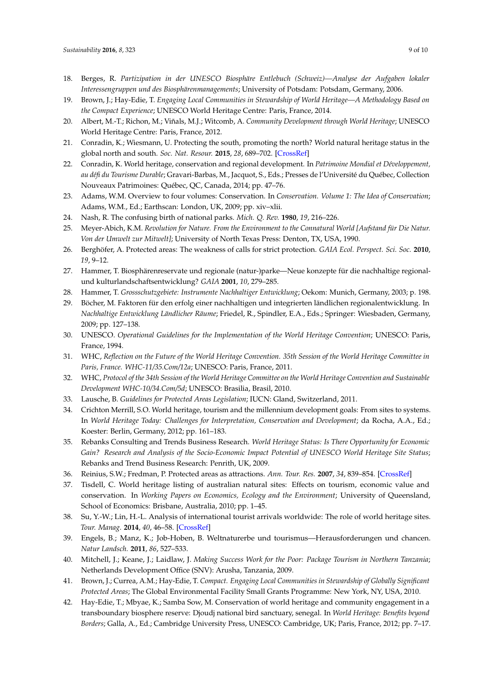- <span id="page-8-0"></span>18. Berges, R. *Partizipation in der UNESCO Biosphäre Entlebuch (Schweiz)—Analyse der Aufgaben lokaler Interessengruppen und des Biosphärenmanagements*; University of Potsdam: Potsdam, Germany, 2006.
- <span id="page-8-1"></span>19. Brown, J.; Hay-Edie, T. *Engaging Local Communities in Stewardship of World Heritage—A Methodology Based on the Compact Experience*; UNESCO World Heritage Centre: Paris, France, 2014.
- <span id="page-8-2"></span>20. Albert, M.-T.; Richon, M.; Viñals, M.J.; Witcomb, A. *Community Development through World Heritage*; UNESCO World Heritage Centre: Paris, France, 2012.
- <span id="page-8-3"></span>21. Conradin, K.; Wiesmann, U. Protecting the south, promoting the north? World natural heritage status in the global north and south. *Soc. Nat. Resour.* **2015**, *28*, 689–702. [\[CrossRef\]](http://dx.doi.org/10.1080/08941920.2015.1014601)
- <span id="page-8-4"></span>22. Conradin, K. World heritage, conservation and regional development. In *Patrimoine Mondial et Développement, au défi du Tourisme Durable*; Gravari-Barbas, M., Jacquot, S., Eds.; Presses de l'Université du Québec, Collection Nouveaux Patrimoines: Québec, QC, Canada, 2014; pp. 47–76.
- <span id="page-8-5"></span>23. Adams, W.M. Overview to four volumes: Conservation. In *Conservation. Volume 1: The Idea of Conservation*; Adams, W.M., Ed.; Earthscan: London, UK, 2009; pp. xiv–xlii.
- <span id="page-8-6"></span>24. Nash, R. The confusing birth of national parks. *Mich. Q. Rev.* **1980**, *19*, 216–226.
- <span id="page-8-7"></span>25. Meyer-Abich, K.M. *Revolution for Nature. From the Environment to the Connatural World [Aufstand für Die Natur. Von der Umwelt zur Mitwelt]*; University of North Texas Press: Denton, TX, USA, 1990.
- <span id="page-8-8"></span>26. Berghöfer, A. Protected areas: The weakness of calls for strict protection. *GAIA Ecol. Perspect. Sci. Soc.* **2010**, *19*, 9–12.
- <span id="page-8-9"></span>27. Hammer, T. Biosphärenreservate und regionale (natur-)parke—Neue konzepte für die nachhaltige regionalund kulturlandschaftsentwicklung? *GAIA* **2001**, *10*, 279–285.
- <span id="page-8-10"></span>28. Hammer, T. *Grossschutzgebiete: Instrumente Nachhaltiger Entwicklung*; Oekom: Munich, Germany, 2003; p. 198.
- <span id="page-8-11"></span>29. Böcher, M. Faktoren für den erfolg einer nachhaltigen und integrierten ländlichen regionalentwicklung. In *Nachhaltige Entwicklung Ländlicher Räume*; Friedel, R., Spindler, E.A., Eds.; Springer: Wiesbaden, Germany, 2009; pp. 127–138.
- <span id="page-8-12"></span>30. UNESCO. *Operational Guidelines for the Implementation of the World Heritage Convention*; UNESCO: Paris, France, 1994.
- <span id="page-8-13"></span>31. WHC, *Reflection on the Future of the World Heritage Convention. 35th Session of the World Heritage Committee in Paris, France. WHC-11/35.Com/12a*; UNESCO: Paris, France, 2011.
- <span id="page-8-14"></span>32. WHC, *Protocol of the 34th Session of the World Heritage Committee on the World Heritage Convention and Sustainable Development WHC-10/34.Com/5d*; UNESCO: Brasilia, Brasil, 2010.
- <span id="page-8-15"></span>33. Lausche, B. *Guidelines for Protected Areas Legislation*; IUCN: Gland, Switzerland, 2011.
- <span id="page-8-16"></span>34. Crichton Merrill, S.O. World heritage, tourism and the millennium development goals: From sites to systems. In *World Heritage Today: Challenges for Interpretation, Conservation and Development*; da Rocha, A.A., Ed.; Koester: Berlin, Germany, 2012; pp. 161–183.
- <span id="page-8-17"></span>35. Rebanks Consulting and Trends Business Research. *World Heritage Status: Is There Opportunity for Economic Gain? Research and Analysis of the Socio-Economic Impact Potential of UNESCO World Heritage Site Status*; Rebanks and Trend Business Research: Penrith, UK, 2009.
- <span id="page-8-18"></span>36. Reinius, S.W.; Fredman, P. Protected areas as attractions. *Ann. Tour. Res.* **2007**, *34*, 839–854. [\[CrossRef\]](http://dx.doi.org/10.1016/j.annals.2007.03.011)
- <span id="page-8-19"></span>37. Tisdell, C. World heritage listing of australian natural sites: Effects on tourism, economic value and conservation. In *Working Papers on Economics, Ecology and the Environment*; University of Queensland, School of Economics: Brisbane, Australia, 2010; pp. 1–45.
- <span id="page-8-20"></span>38. Su, Y.-W.; Lin, H.-L. Analysis of international tourist arrivals worldwide: The role of world heritage sites. *Tour. Manag.* **2014**, *40*, 46–58. [\[CrossRef\]](http://dx.doi.org/10.1016/j.tourman.2013.04.005)
- <span id="page-8-21"></span>39. Engels, B.; Manz, K.; Job-Hoben, B. Weltnaturerbe und tourismus—Herausforderungen und chancen. *Natur Landsch.* **2011**, *86*, 527–533.
- <span id="page-8-22"></span>40. Mitchell, J.; Keane, J.; Laidlaw, J. *Making Success Work for the Poor: Package Tourism in Northern Tanzania*; Netherlands Development Office (SNV): Arusha, Tanzania, 2009.
- <span id="page-8-23"></span>41. Brown, J.; Currea, A.M.; Hay-Edie, T. *Compact. Engaging Local Communities in Stewardship of Globally Significant Protected Areas*; The Global Environmental Facility Small Grants Programme: New York, NY, USA, 2010.
- <span id="page-8-24"></span>42. Hay-Edie, T.; Mbyae, K.; Samba Sow, M. Conservation of world heritage and community engagement in a transboundary biosphere reserve: Djoudj national bird sanctuary, senegal. In *World Heritage: Benefits beyond Borders*; Galla, A., Ed.; Cambridge University Press, UNESCO: Cambridge, UK; Paris, France, 2012; pp. 7–17.